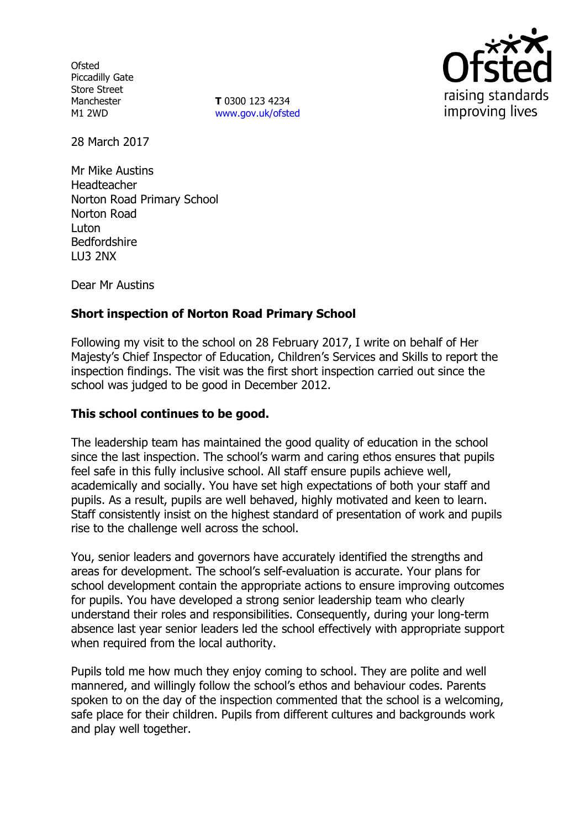**Ofsted** Piccadilly Gate Store Street Manchester M1 2WD

**T** 0300 123 4234 www.gov.uk/ofsted



28 March 2017

Mr Mike Austins Headteacher Norton Road Primary School Norton Road Luton Bedfordshire LU3 2NX

Dear Mr Austins

# **Short inspection of Norton Road Primary School**

Following my visit to the school on 28 February 2017, I write on behalf of Her Majesty's Chief Inspector of Education, Children's Services and Skills to report the inspection findings. The visit was the first short inspection carried out since the school was judged to be good in December 2012.

### **This school continues to be good.**

The leadership team has maintained the good quality of education in the school since the last inspection. The school's warm and caring ethos ensures that pupils feel safe in this fully inclusive school. All staff ensure pupils achieve well, academically and socially. You have set high expectations of both your staff and pupils. As a result, pupils are well behaved, highly motivated and keen to learn. Staff consistently insist on the highest standard of presentation of work and pupils rise to the challenge well across the school.

You, senior leaders and governors have accurately identified the strengths and areas for development. The school's self-evaluation is accurate. Your plans for school development contain the appropriate actions to ensure improving outcomes for pupils. You have developed a strong senior leadership team who clearly understand their roles and responsibilities. Consequently, during your long-term absence last year senior leaders led the school effectively with appropriate support when required from the local authority.

Pupils told me how much they enjoy coming to school. They are polite and well mannered, and willingly follow the school's ethos and behaviour codes. Parents spoken to on the day of the inspection commented that the school is a welcoming, safe place for their children. Pupils from different cultures and backgrounds work and play well together.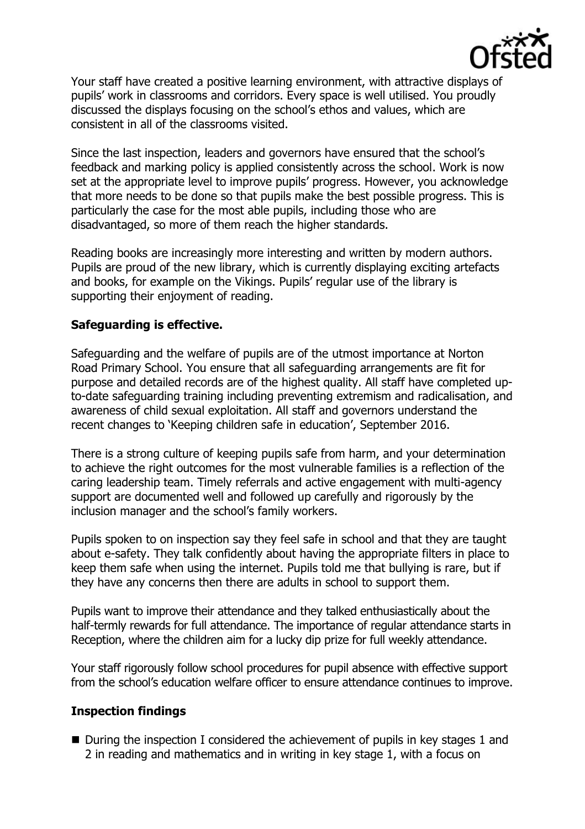

Your staff have created a positive learning environment, with attractive displays of pupils' work in classrooms and corridors. Every space is well utilised. You proudly discussed the displays focusing on the school's ethos and values, which are consistent in all of the classrooms visited.

Since the last inspection, leaders and governors have ensured that the school's feedback and marking policy is applied consistently across the school. Work is now set at the appropriate level to improve pupils' progress. However, you acknowledge that more needs to be done so that pupils make the best possible progress. This is particularly the case for the most able pupils, including those who are disadvantaged, so more of them reach the higher standards.

Reading books are increasingly more interesting and written by modern authors. Pupils are proud of the new library, which is currently displaying exciting artefacts and books, for example on the Vikings. Pupils' regular use of the library is supporting their enjoyment of reading.

#### **Safeguarding is effective.**

Safeguarding and the welfare of pupils are of the utmost importance at Norton Road Primary School. You ensure that all safeguarding arrangements are fit for purpose and detailed records are of the highest quality. All staff have completed upto-date safeguarding training including preventing extremism and radicalisation, and awareness of child sexual exploitation. All staff and governors understand the recent changes to 'Keeping children safe in education', September 2016.

There is a strong culture of keeping pupils safe from harm, and your determination to achieve the right outcomes for the most vulnerable families is a reflection of the caring leadership team. Timely referrals and active engagement with multi-agency support are documented well and followed up carefully and rigorously by the inclusion manager and the school's family workers.

Pupils spoken to on inspection say they feel safe in school and that they are taught about e-safety. They talk confidently about having the appropriate filters in place to keep them safe when using the internet. Pupils told me that bullying is rare, but if they have any concerns then there are adults in school to support them.

Pupils want to improve their attendance and they talked enthusiastically about the half-termly rewards for full attendance. The importance of regular attendance starts in Reception, where the children aim for a lucky dip prize for full weekly attendance.

Your staff rigorously follow school procedures for pupil absence with effective support from the school's education welfare officer to ensure attendance continues to improve.

#### **Inspection findings**

 $\blacksquare$  During the inspection I considered the achievement of pupils in key stages 1 and 2 in reading and mathematics and in writing in key stage 1, with a focus on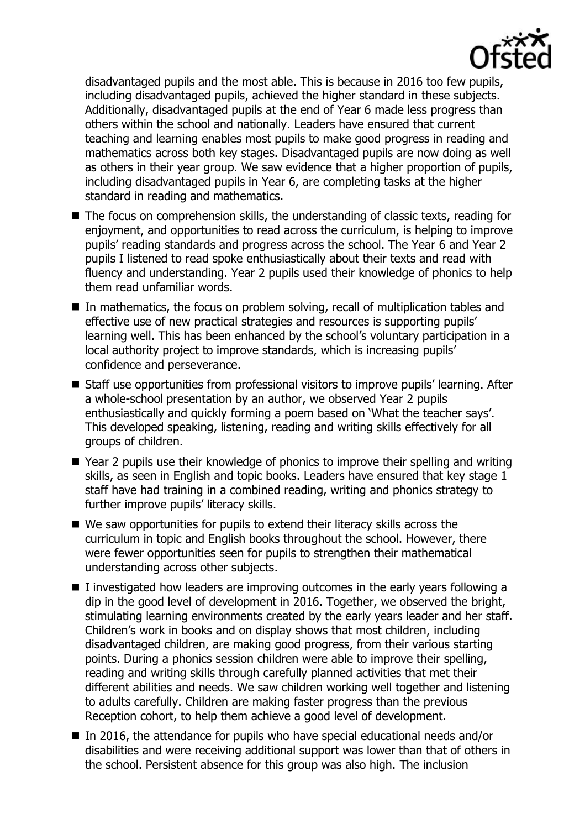

disadvantaged pupils and the most able. This is because in 2016 too few pupils, including disadvantaged pupils, achieved the higher standard in these subjects. Additionally, disadvantaged pupils at the end of Year 6 made less progress than others within the school and nationally. Leaders have ensured that current teaching and learning enables most pupils to make good progress in reading and mathematics across both key stages. Disadvantaged pupils are now doing as well as others in their year group. We saw evidence that a higher proportion of pupils, including disadvantaged pupils in Year 6, are completing tasks at the higher standard in reading and mathematics.

- The focus on comprehension skills, the understanding of classic texts, reading for enjoyment, and opportunities to read across the curriculum, is helping to improve pupils' reading standards and progress across the school. The Year 6 and Year 2 pupils I listened to read spoke enthusiastically about their texts and read with fluency and understanding. Year 2 pupils used their knowledge of phonics to help them read unfamiliar words.
- In mathematics, the focus on problem solving, recall of multiplication tables and effective use of new practical strategies and resources is supporting pupils' learning well. This has been enhanced by the school's voluntary participation in a local authority project to improve standards, which is increasing pupils' confidence and perseverance.
- Staff use opportunities from professional visitors to improve pupils' learning. After a whole-school presentation by an author, we observed Year 2 pupils enthusiastically and quickly forming a poem based on 'What the teacher says'. This developed speaking, listening, reading and writing skills effectively for all groups of children.
- Year 2 pupils use their knowledge of phonics to improve their spelling and writing skills, as seen in English and topic books. Leaders have ensured that key stage 1 staff have had training in a combined reading, writing and phonics strategy to further improve pupils' literacy skills.
- We saw opportunities for pupils to extend their literacy skills across the curriculum in topic and English books throughout the school. However, there were fewer opportunities seen for pupils to strengthen their mathematical understanding across other subjects.
- $\blacksquare$  I investigated how leaders are improving outcomes in the early years following a dip in the good level of development in 2016. Together, we observed the bright, stimulating learning environments created by the early years leader and her staff. Children's work in books and on display shows that most children, including disadvantaged children, are making good progress, from their various starting points. During a phonics session children were able to improve their spelling, reading and writing skills through carefully planned activities that met their different abilities and needs. We saw children working well together and listening to adults carefully. Children are making faster progress than the previous Reception cohort, to help them achieve a good level of development.
- In 2016, the attendance for pupils who have special educational needs and/or disabilities and were receiving additional support was lower than that of others in the school. Persistent absence for this group was also high. The inclusion